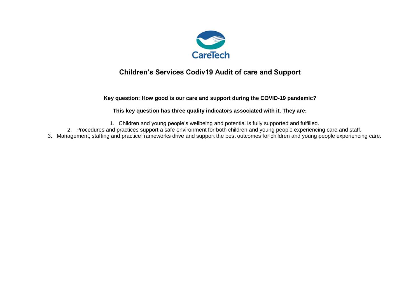

## **Children's Services Codiv19 Audit of care and Support**

**Key question: How good is our care and support during the COVID-19 pandemic?**

**This key question has three quality indicators associated with it. They are:**

1. Children and young people's wellbeing and potential is fully supported and fulfilled.

- 2. Procedures and practices support a safe environment for both children and young people experiencing care and staff.
- 3. Management, staffing and practice frameworks drive and support the best outcomes for children and young people experiencing care.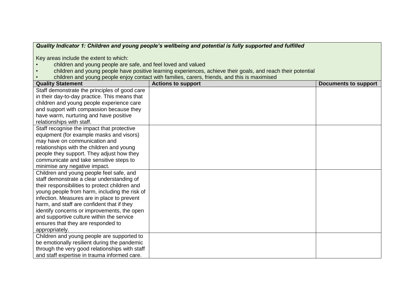## *Quality Indicator 1: Children and young people's wellbeing and potential is fully supported and fulfilled*

Key areas include the extent to which:

- children and young people are safe, and feel loved and valued
- children and young people have positive learning experiences, achieve their goals, and reach their potential<br>• children and young people enjoy contact with families, carers, friends, and this is maximised
- children and young people enjoy contact with families, carers, friends, and this is maximised

| <b>Quality Statement</b>                       | <b>Actions to support</b> | <b>Documents to support</b> |
|------------------------------------------------|---------------------------|-----------------------------|
| Staff demonstrate the principles of good care  |                           |                             |
| in their day-to-day practice. This means that  |                           |                             |
| children and young people experience care      |                           |                             |
| and support with compassion because they       |                           |                             |
| have warm, nurturing and have positive         |                           |                             |
| relationships with staff.                      |                           |                             |
| Staff recognise the impact that protective     |                           |                             |
| equipment (for example masks and visors)       |                           |                             |
| may have on communication and                  |                           |                             |
| relationships with the children and young      |                           |                             |
| people they support. They adjust how they      |                           |                             |
| communicate and take sensitive steps to        |                           |                             |
| minimise any negative impact.                  |                           |                             |
| Children and young people feel safe, and       |                           |                             |
| staff demonstrate a clear understanding of     |                           |                             |
| their responsibilities to protect children and |                           |                             |
| young people from harm, including the risk of  |                           |                             |
| infection. Measures are in place to prevent    |                           |                             |
| harm, and staff are confident that if they     |                           |                             |
| identify concerns or improvements, the open    |                           |                             |
| and supportive culture within the service      |                           |                             |
| ensures that they are responded to             |                           |                             |
| appropriately.                                 |                           |                             |
| Children and young people are supported to     |                           |                             |
| be emotionally resilient during the pandemic   |                           |                             |
| through the very good relationships with staff |                           |                             |
| and staff expertise in trauma informed care.   |                           |                             |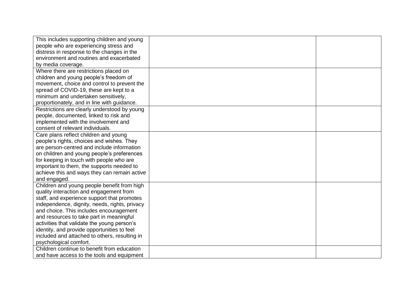| This includes supporting children and young   |  |
|-----------------------------------------------|--|
| people who are experiencing stress and        |  |
| distress in response to the changes in the    |  |
| environment and routines and exacerbated      |  |
| by media coverage.                            |  |
| Where there are restrictions placed on        |  |
| children and young people's freedom of        |  |
| movement, choice and control to prevent the   |  |
| spread of COVID-19, these are kept to a       |  |
| minimum and undertaken sensitively,           |  |
| proportionately, and in line with guidance.   |  |
| Restrictions are clearly understood by young  |  |
| people, documented, linked to risk and        |  |
| implemented with the involvement and          |  |
| consent of relevant individuals.              |  |
| Care plans reflect children and young         |  |
| people's rights, choices and wishes. They     |  |
| are person-centred and include information    |  |
| on children and young people's preferences    |  |
| for keeping in touch with people who are      |  |
| important to them, the supports needed to     |  |
| achieve this and ways they can remain active  |  |
| and engaged.                                  |  |
| Children and young people benefit from high   |  |
| quality interaction and engagement from       |  |
| staff, and experience support that promotes   |  |
| independence, dignity, needs, rights, privacy |  |
| and choice. This includes encouragement       |  |
| and resources to take part in meaningful      |  |
| activities that validate the young person's   |  |
| identity, and provide opportunities to feel   |  |
| included and attached to others, resulting in |  |
| psychological comfort.                        |  |
| Children continue to benefit from education   |  |
| and have access to the tools and equipment    |  |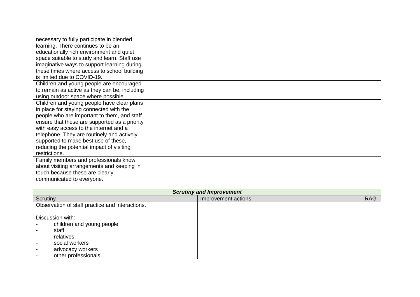| necessary to fully participate in blended     |  |
|-----------------------------------------------|--|
| learning. There continues to be an            |  |
| educationally rich environment and quiet      |  |
| space suitable to study and learn. Staff use  |  |
| imaginative ways to support learning during   |  |
| these times where access to school building   |  |
| is limited due to COVID-19.                   |  |
| Children and young people are encouraged      |  |
| to remain as active as they can be, including |  |
| using outdoor space where possible.           |  |
| Children and young people have clear plans    |  |
| in place for staying connected with the       |  |
| people who are important to them, and staff   |  |
| ensure that these are supported as a priority |  |
| with easy access to the internet and a        |  |
| telephone. They are routinely and actively    |  |
| supported to make best use of these,          |  |
| reducing the potential impact of visiting     |  |
| restrictions.                                 |  |
| Family members and professionals know         |  |
| about visiting arrangements and keeping in    |  |
| touch because these are clearly               |  |
| communicated to everyone.                     |  |

| <b>Scrutiny and Improvement</b> |                                                 |                     |            |
|---------------------------------|-------------------------------------------------|---------------------|------------|
| Scrutiny                        |                                                 | Improvement actions | <b>RAG</b> |
|                                 | Observation of staff practice and interactions. |                     |            |
|                                 |                                                 |                     |            |
| Discussion with:                |                                                 |                     |            |
| children and young people       |                                                 |                     |            |
| staff                           |                                                 |                     |            |
| relatives                       |                                                 |                     |            |
| social workers                  |                                                 |                     |            |
| advocacy workers                |                                                 |                     |            |
| other professionals.            |                                                 |                     |            |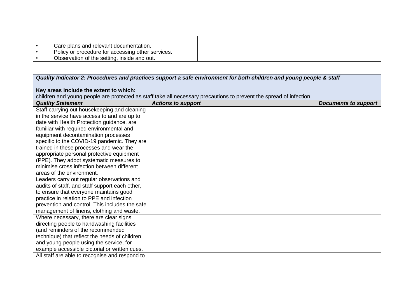| Care plans and relevant documentation.            |
|---------------------------------------------------|
| Policy or procedure for accessing other services. |
| Observation of the setting, inside and out.       |

| Quality Indicator 2: Procedures and practices support a safe environment for both children and young people & staff |                                                                                                                    |                             |
|---------------------------------------------------------------------------------------------------------------------|--------------------------------------------------------------------------------------------------------------------|-----------------------------|
|                                                                                                                     |                                                                                                                    |                             |
| Key areas include the extent to which:                                                                              |                                                                                                                    |                             |
|                                                                                                                     | children and young people are protected as staff take all necessary precautions to prevent the spread of infection |                             |
| <b>Quality Statement</b>                                                                                            | <b>Actions to support</b>                                                                                          | <b>Documents to support</b> |
| Staff carrying out housekeeping and cleaning                                                                        |                                                                                                                    |                             |
| in the service have access to and are up to                                                                         |                                                                                                                    |                             |
| date with Health Protection guidance, are                                                                           |                                                                                                                    |                             |
| familiar with required environmental and                                                                            |                                                                                                                    |                             |
| equipment decontamination processes                                                                                 |                                                                                                                    |                             |
| specific to the COVID-19 pandemic. They are                                                                         |                                                                                                                    |                             |
| trained in these processes and wear the                                                                             |                                                                                                                    |                             |
| appropriate personal protective equipment                                                                           |                                                                                                                    |                             |
| (PPE). They adopt systematic measures to                                                                            |                                                                                                                    |                             |
| minimise cross infection between different                                                                          |                                                                                                                    |                             |
| areas of the environment.                                                                                           |                                                                                                                    |                             |
| Leaders carry out regular observations and                                                                          |                                                                                                                    |                             |
| audits of staff, and staff support each other,                                                                      |                                                                                                                    |                             |
| to ensure that everyone maintains good                                                                              |                                                                                                                    |                             |
| practice in relation to PPE and infection                                                                           |                                                                                                                    |                             |
| prevention and control. This includes the safe                                                                      |                                                                                                                    |                             |
| management of linens, clothing and waste.                                                                           |                                                                                                                    |                             |
| Where necessary, there are clear signs                                                                              |                                                                                                                    |                             |
| directing people to handwashing facilities                                                                          |                                                                                                                    |                             |
| (and reminders of the recommended                                                                                   |                                                                                                                    |                             |
| technique) that reflect the needs of children                                                                       |                                                                                                                    |                             |
| and young people using the service, for                                                                             |                                                                                                                    |                             |
| example accessible pictorial or written cues.                                                                       |                                                                                                                    |                             |
| All staff are able to recognise and respond to                                                                      |                                                                                                                    |                             |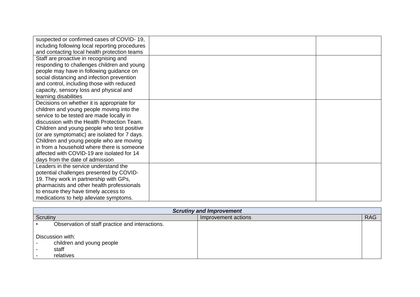| suspected or confirmed cases of COVID-19,      |  |
|------------------------------------------------|--|
| including following local reporting procedures |  |
| and contacting local health protection teams   |  |
| Staff are proactive in recognising and         |  |
| responding to challenges children and young    |  |
| people may have in following guidance on       |  |
| social distancing and infection prevention     |  |
| and control, including those with reduced      |  |
| capacity, sensory loss and physical and        |  |
| learning disabilities                          |  |
| Decisions on whether it is appropriate for     |  |
| children and young people moving into the      |  |
| service to be tested are made locally in       |  |
| discussion with the Health Protection Team.    |  |
| Children and young people who test positive    |  |
| (or are symptomatic) are isolated for 7 days.  |  |
| Children and young people who are moving       |  |
| in from a household where there is someone     |  |
| affected with COVID-19 are isolated for 14     |  |
| days from the date of admission                |  |
| Leaders in the service understand the          |  |
| potential challenges presented by COVID-       |  |
| 19. They work in partnership with GPs,         |  |
| pharmacists and other health professionals     |  |
| to ensure they have timely access to           |  |
| medications to help alleviate symptoms.        |  |

| <b>Scrutiny and Improvement</b>                                     |                     |            |  |
|---------------------------------------------------------------------|---------------------|------------|--|
| Scrutiny                                                            | Improvement actions | <b>RAG</b> |  |
| Observation of staff practice and interactions.                     |                     |            |  |
| Discussion with:<br>children and young people<br>staff<br>relatives |                     |            |  |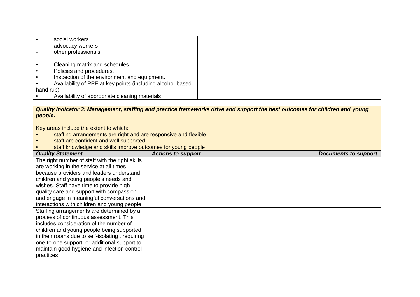|            | social workers                                             |  |
|------------|------------------------------------------------------------|--|
|            | advocacy workers                                           |  |
|            | other professionals.                                       |  |
|            |                                                            |  |
|            | Cleaning matrix and schedules.                             |  |
|            | Policies and procedures.                                   |  |
|            | Inspection of the environment and equipment.               |  |
|            | Availability of PPE at key points (including alcohol-based |  |
| hand rub). |                                                            |  |
|            | Availability of appropriate cleaning materials             |  |

## *Quality Indicator 3: Management, staffing and practice frameworks drive and support the best outcomes for children and young people.*

Key areas include the extent to which:

- staffing arrangements are right and are responsive and flexible<br>• staff are confident and well supported
- staff are confident and well supported
- staff knowledge and skills improve outcomes for young people

| <b>Quality Statement</b>                        | <b>Actions to support</b> | <b>Documents to support</b> |
|-------------------------------------------------|---------------------------|-----------------------------|
| The right number of staff with the right skills |                           |                             |
| are working in the service at all times         |                           |                             |
| because providers and leaders understand        |                           |                             |
| children and young people's needs and           |                           |                             |
| wishes. Staff have time to provide high         |                           |                             |
| quality care and support with compassion        |                           |                             |
| and engage in meaningful conversations and      |                           |                             |
| interactions with children and young people.    |                           |                             |
| Staffing arrangements are determined by a       |                           |                             |
| process of continuous assessment. This          |                           |                             |
| includes consideration of the number of         |                           |                             |
| children and young people being supported       |                           |                             |
| in their rooms due to self-isolating, requiring |                           |                             |
| one-to-one support, or additional support to    |                           |                             |
| maintain good hygiene and infection control     |                           |                             |
| practices                                       |                           |                             |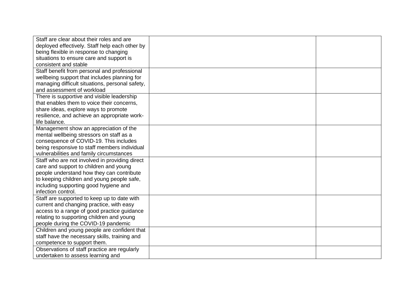| Staff are clear about their roles and are       |  |
|-------------------------------------------------|--|
| deployed effectively. Staff help each other by  |  |
| being flexible in response to changing          |  |
| situations to ensure care and support is        |  |
| consistent and stable                           |  |
| Staff benefit from personal and professional    |  |
| wellbeing support that includes planning for    |  |
| managing difficult situations, personal safety, |  |
| and assessment of workload                      |  |
| There is supportive and visible leadership      |  |
| that enables them to voice their concerns,      |  |
| share ideas, explore ways to promote            |  |
| resilience, and achieve an appropriate work-    |  |
| life balance.                                   |  |
| Management show an appreciation of the          |  |
| mental wellbeing stressors on staff as a        |  |
| consequence of COVID-19. This includes          |  |
| being responsive to staff members individual    |  |
| vulnerabilities and family circumstances        |  |
| Staff who are not involved in providing direct  |  |
| care and support to children and young          |  |
| people understand how they can contribute       |  |
| to keeping children and young people safe,      |  |
| including supporting good hygiene and           |  |
| infection control.                              |  |
| Staff are supported to keep up to date with     |  |
| current and changing practice, with easy        |  |
| access to a range of good practice guidance     |  |
| relating to supporting children and young       |  |
| people during the COVID-19 pandemic             |  |
| Children and young people are confident that    |  |
| staff have the necessary skills, training and   |  |
| competence to support them.                     |  |
| Observations of staff practice are regularly    |  |
| undertaken to assess learning and               |  |